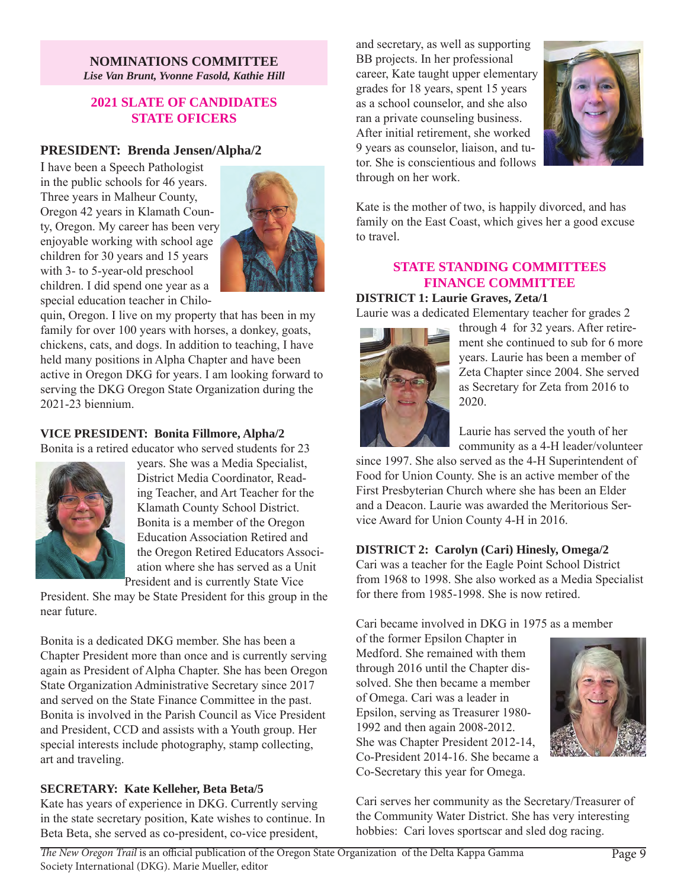#### **NOMINATIONS COMMITTEE**  *Lise Van Brunt, Yvonne Fasold, Kathie Hill*

## **2021 SLATE OF CANDIDATES STATE OFICERS**

# **PRESIDENT: Brenda Jensen/Alpha/2**

I have been a Speech Pathologist in the public schools for 46 years. Three years in Malheur County, Oregon 42 years in Klamath County, Oregon. My career has been very enjoyable working with school age children for 30 years and 15 years with 3- to 5-year-old preschool children. I did spend one year as a special education teacher in Chilo-

quin, Oregon. I live on my property that has been in my family for over 100 years with horses, a donkey, goats, chickens, cats, and dogs. In addition to teaching, I have held many positions in Alpha Chapter and have been active in Oregon DKG for years. I am looking forward to serving the DKG Oregon State Organization during the 2021-23 biennium.

# **VICE PRESIDENT: Bonita Fillmore, Alpha/2**

Bonita is a retired educator who served students for 23

years. She was a Media Specialist, District Media Coordinator, Reading Teacher, and Art Teacher for the Klamath County School District. Bonita is a member of the Oregon Education Association Retired and the Oregon Retired Educators Association where she has served as a Unit President and is currently State Vice

President. She may be State President for this group in the near future.

Bonita is a dedicated DKG member. She has been a Chapter President more than once and is currently serving again as President of Alpha Chapter. She has been Oregon State Organization Administrative Secretary since 2017 and served on the State Finance Committee in the past. Bonita is involved in the Parish Council as Vice President and President, CCD and assists with a Youth group. Her special interests include photography, stamp collecting, art and traveling.

# **SECRETARY: Kate Kelleher, Beta Beta/5**

Kate has years of experience in DKG. Currently serving in the state secretary position, Kate wishes to continue. In Beta Beta, she served as co-president, co-vice president,

and secretary, as well as supporting BB projects. In her professional career, Kate taught upper elementary grades for 18 years, spent 15 years as a school counselor, and she also ran a private counseling business. After initial retirement, she worked 9 years as counselor, liaison, and tutor. She is conscientious and follows through on her work.

Kate is the mother of two, is happily divorced, and has family on the East Coast, which gives her a good excuse to travel.

# **STATE STANDING COMMITTEES FINANCE COMMITTEE**

#### **DISTRICT 1: Laurie Graves, Zeta/1**

Laurie was a dedicated Elementary teacher for grades 2

through 4 for 32 years. After retirement she continued to sub for 6 more years. Laurie has been a member of Zeta Chapter since 2004. She served as Secretary for Zeta from 2016 to 2020.

Laurie has served the youth of her community as a 4-H leader/volunteer

since 1997. She also served as the 4-H Superintendent of Food for Union County. She is an active member of the First Presbyterian Church where she has been an Elder and a Deacon. Laurie was awarded the Meritorious Service Award for Union County 4-H in 2016.

#### **DISTRICT 2: Carolyn (Cari) Hinesly, Omega/2**

Cari was a teacher for the Eagle Point School District from 1968 to 1998. She also worked as a Media Specialist for there from 1985-1998. She is now retired.

Cari became involved in DKG in 1975 as a member of the former Epsilon Chapter in Medford. She remained with them through 2016 until the Chapter dissolved. She then became a member of Omega. Cari was a leader in Epsilon, serving as Treasurer 1980- 1992 and then again 2008-2012. She was Chapter President 2012-14, Co-President 2014-16. She became a Co-Secretary this year for Omega.

Cari serves her community as the Secretary/Treasurer of the Community Water District. She has very interesting hobbies: Cari loves sportscar and sled dog racing.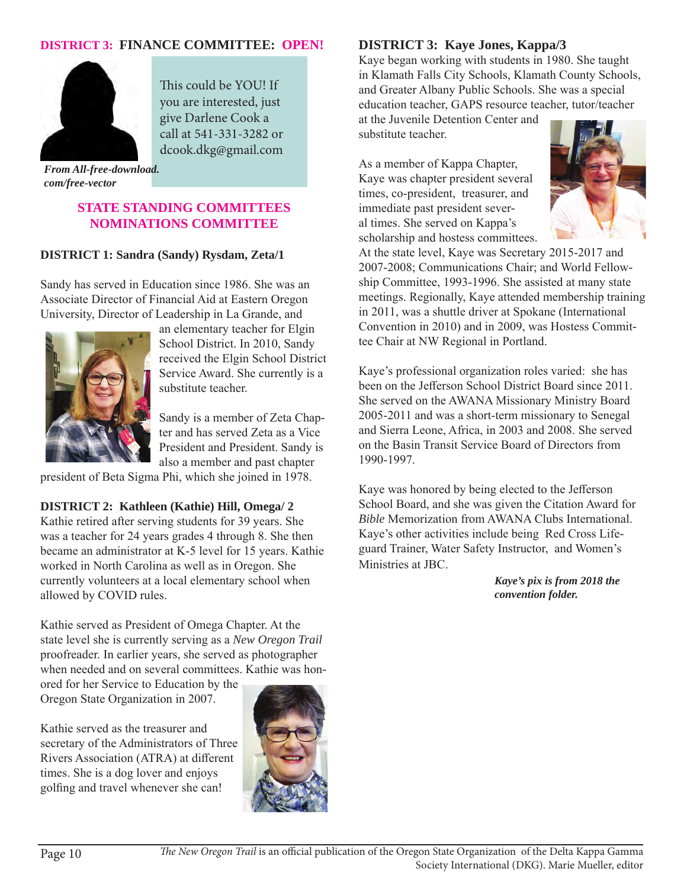# **DISTRICT 3: FINANCE COMMITTEE: OPEN!**



This could be YOU! If you are interested, just give Darlene Cook a call at 541-331-3282 or dcook.dkg@gmail.com

*From All-free-download. com/free-vector*

#### **STATE STANDING COMMITTEES NOMINATIONS COMMITTEE**

#### **DISTRICT 1: Sandra (Sandy) Rysdam, Zeta/1**

Sandy has served in Education since 1986. She was an Associate Director of Financial Aid at Eastern Oregon University, Director of Leadership in La Grande, and



an elementary teacher for Elgin School District. In 2010, Sandy received the Elgin School District Service Award. She currently is a substitute teacher.

Sandy is a member of Zeta Chapter and has served Zeta as a Vice President and President. Sandy is also a member and past chapter

president of Beta Sigma Phi, which she joined in 1978.

#### **DISTRICT 2: Kathleen (Kathie) Hill, Omega/ 2**

Kathie retired after serving students for 39 years. She was a teacher for 24 years grades 4 through 8. She then became an administrator at K-5 level for 15 years. Kathie worked in North Carolina as well as in Oregon. She currently volunteers at a local elementary school when allowed by COVID rules.

Kathie served as President of Omega Chapter. At the state level she is currently serving as a *New Oregon Trail* proofreader. In earlier years, she served as photographer when needed and on several committees. Kathie was hon-

ored for her Service to Education by the Oregon State Organization in 2007.

Kathie served as the treasurer and secretary of the Administrators of Three Rivers Association (ATRA) at different times. She is a dog lover and enjoys golfing and travel whenever she can!



# **DISTRICT 3: Kaye Jones, Kappa/3**

Kaye began working with students in 1980. She taught in Klamath Falls City Schools, Klamath County Schools, and Greater Albany Public Schools. She was a special education teacher, GAPS resource teacher, tutor/teacher

at the Juvenile Detention Center and substitute teacher.

As a member of Kappa Chapter, Kaye was chapter president several times, co-president, treasurer, and immediate past president several times. She served on Kappa's scholarship and hostess committees.



At the state level, Kaye was Secretary 2015-2017 and 2007-2008; Communications Chair; and World Fellowship Committee, 1993-1996. She assisted at many state meetings. Regionally, Kaye attended membership training in 2011, was a shuttle driver at Spokane (International Convention in 2010) and in 2009, was Hostess Committee Chair at NW Regional in Portland.

Kaye's professional organization roles varied: she has been on the Jefferson School District Board since 2011. She served on the AWANA Missionary Ministry Board 2005-2011 and was a short-term missionary to Senegal and Sierra Leone, Africa, in 2003 and 2008. She served on the Basin Transit Service Board of Directors from 1990-1997.

Kaye was honored by being elected to the Jefferson School Board, and she was given the Citation Award for *Bible* Memorization from AWANA Clubs International. Kaye's other activities include being Red Cross Lifeguard Trainer, Water Safety Instructor, and Women's Ministries at JBC.

> *Kaye's pix is from 2018 the convention folder.*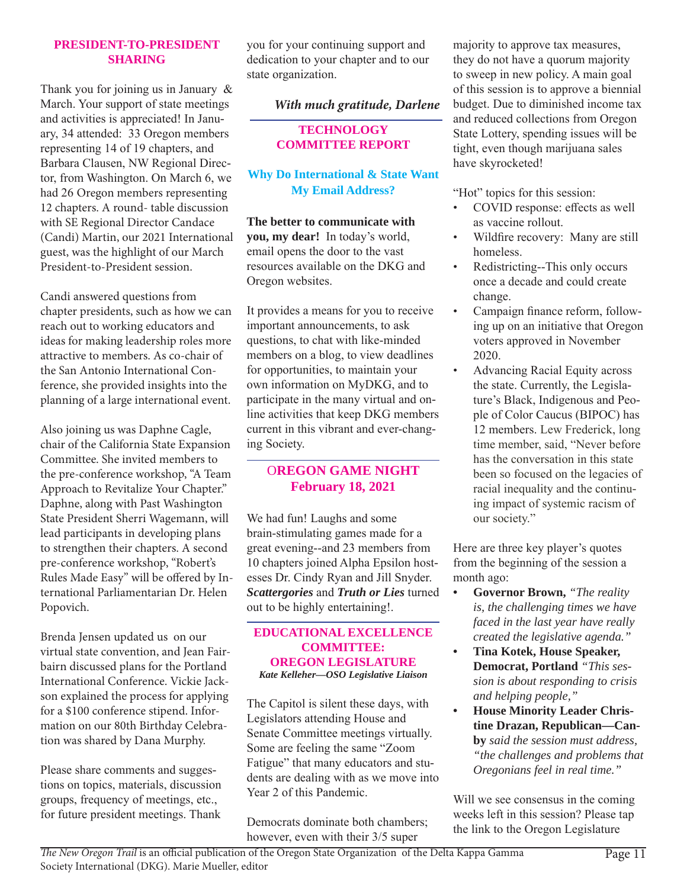#### **PRESIDENT-TO-PRESIDENT SHARING**

Thank you for joining us in January & March. Your support of state meetings and activities is appreciated! In January, 34 attended: 33 Oregon members representing 14 of 19 chapters, and Barbara Clausen, NW Regional Director, from Washington. On March 6, we had 26 Oregon members representing 12 chapters. A round- table discussion with SE Regional Director Candace (Candi) Martin, our 2021 International guest, was the highlight of our March President-to-President session.

Candi answered questions from chapter presidents, such as how we can reach out to working educators and ideas for making leadership roles more attractive to members. As co-chair of the San Antonio International Conference, she provided insights into the planning of a large international event.

Also joining us was Daphne Cagle, chair of the California State Expansion Committee. She invited members to the pre-conference workshop, "A Team Approach to Revitalize Your Chapter." Daphne, along with Past Washington State President Sherri Wagemann, will lead participants in developing plans to strengthen their chapters. A second pre-conference workshop, "Robert's Rules Made Easy" will be offered by International Parliamentarian Dr. Helen Popovich.

Brenda Jensen updated us on our virtual state convention, and Jean Fairbairn discussed plans for the Portland International Conference. Vickie Jackson explained the process for applying for a \$100 conference stipend. Information on our 80th Birthday Celebration was shared by Dana Murphy.

Please share comments and suggestions on topics, materials, discussion groups, frequency of meetings, etc., for future president meetings. Thank you for your continuing support and dedication to your chapter and to our state organization.

## *With much gratitude, Darlene*

**TECHNOLOGY COMMITTEE REPORT**

**Why Do International & State Want My Email Address?**

**The better to communicate with you, my dear!** In today's world, email opens the door to the vast resources available on the DKG and Oregon websites.

It provides a means for you to receive important announcements, to ask questions, to chat with like-minded members on a blog, to view deadlines for opportunities, to maintain your own information on MyDKG, and to participate in the many virtual and online activities that keep DKG members current in this vibrant and ever-changing Society.

O**REGON GAME NIGHT February 18, 2021**

We had fun! Laughs and some brain-stimulating games made for a great evening--and 23 members from 10 chapters joined Alpha Epsilon hostesses Dr. Cindy Ryan and Jill Snyder. *Scattergories* and *Truth or Lies* turned out to be highly entertaining!.

#### **EDUCATIONAL EXCELLENCE COMMITTEE: OREGON LEGISLATURE** *Kate Kelleher—OSO Legislative Liaison*

The Capitol is silent these days, with Legislators attending House and Senate Committee meetings virtually. Some are feeling the same "Zoom Fatigue" that many educators and students are dealing with as we move into Year 2 of this Pandemic.

Democrats dominate both chambers; however, even with their 3/5 super

majority to approve tax measures, they do not have a quorum majority to sweep in new policy. A main goal of this session is to approve a biennial budget. Due to diminished income tax and reduced collections from Oregon State Lottery, spending issues will be tight, even though marijuana sales have skyrocketed!

"Hot" topics for this session:

- COVID response: effects as well as vaccine rollout.
- Wildfire recovery: Many are still homeless.
- Redistricting--This only occurs once a decade and could create change.
- Campaign finance reform, following up on an initiative that Oregon voters approved in November 2020.
- Advancing Racial Equity across the state. Currently, the Legislature's Black, Indigenous and People of Color Caucus (BIPOC) has 12 members. Lew Frederick, long time member, said, "Never before has the conversation in this state been so focused on the legacies of racial inequality and the continuing impact of systemic racism of our society."

Here are three key player's quotes from the beginning of the session a month ago:

- **• Governor Brown,** *"The reality is, the challenging times we have faced in the last year have really created the legislative agenda."*
- **• Tina Kotek, House Speaker, Democrat, Portland** *"This session is about responding to crisis and helping people,"*
- **• House Minority Leader Christine Drazan, Republican—Canby** *said the session must address, "the challenges and problems that Oregonians feel in real time."*

Will we see consensus in the coming weeks left in this session? Please tap the link to the Oregon Legislature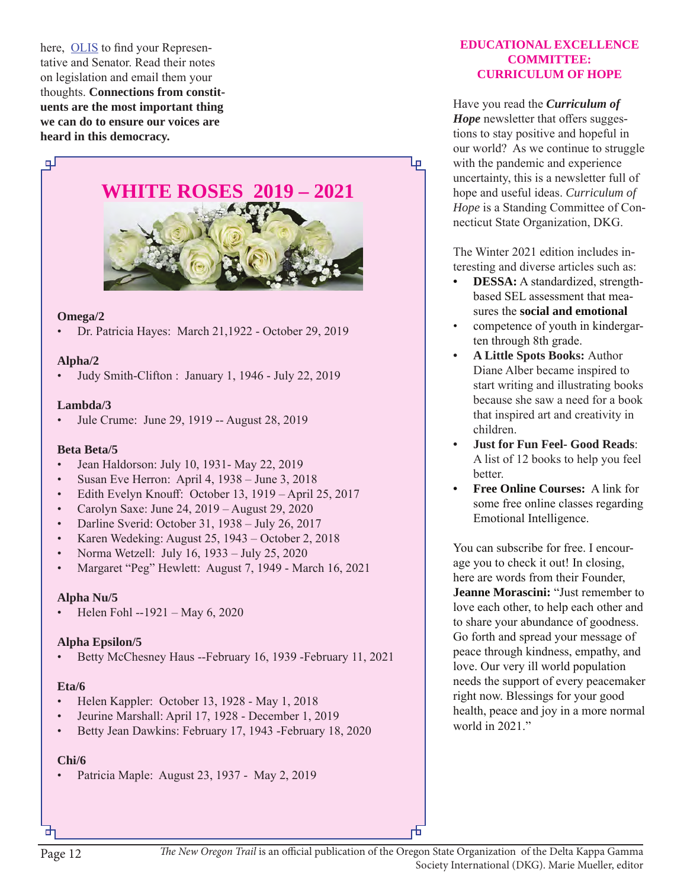here, OLIS to find your Representative and Senator. Read their notes on legislation and email them your thoughts. **Connections from constituents are the most important thing we can do to ensure our voices are heard in this democracy.**



#### **Omega/2**

• Dr. Patricia Hayes: March 21,1922 - October 29, 2019

#### **Alpha/2**

• Judy Smith-Clifton : January 1, 1946 - July 22, 2019

#### **Lambda/3**

• Jule Crume: June 29, 1919 -- August 28, 2019

#### **Beta Beta/5**

- Jean Haldorson: July 10, 1931- May 22, 2019
- Susan Eve Herron: April 4, 1938 June 3, 2018
- Edith Evelyn Knouff: October 13, 1919 April 25, 2017
- Carolyn Saxe: June 24, 2019 August 29, 2020
- Darline Sverid: October 31, 1938 July 26, 2017
- Karen Wedeking: August 25, 1943 October 2, 2018
- Norma Wetzell: July 16, 1933 July 25, 2020
- Margaret "Peg" Hewlett: August 7, 1949 March 16, 2021

#### **Alpha Nu/5**

• Helen Fohl --1921 – May 6, 2020

#### **Alpha Epsilon/5**

• Betty McChesney Haus --February 16, 1939 -February 11, 2021

#### **Eta/6**

- Helen Kappler: October 13, 1928 May 1, 2018
- Jeurine Marshall: April 17, 1928 December 1, 2019
- Betty Jean Dawkins: February 17, 1943 -February 18, 2020

#### **Chi/6**

• Patricia Maple: August 23, 1937 - May 2, 2019

#### **EDUCATIONAL EXCELLENCE COMMITTEE: CURRICULUM OF HOPE**

Have you read the *Curriculum of Hope* newsletter that offers suggestions to stay positive and hopeful in our world? As we continue to struggle with the pandemic and experience uncertainty, this is a newsletter full of hope and useful ideas. *Curriculum of Hope* is a Standing Committee of Connecticut State Organization, DKG.

The Winter 2021 edition includes interesting and diverse articles such as:

- **• DESSA:** A standardized, strengthbased SEL assessment that measures the **social and emotional**
- competence of youth in kindergarten through 8th grade.
- **• A Little Spots Books:** Author Diane Alber became inspired to start writing and illustrating books because she saw a need for a book that inspired art and creativity in children.
- **• Just for Fun Feel- Good Reads**: A list of 12 books to help you feel better.
- **• Free Online Courses:** A link for some free online classes regarding Emotional Intelligence.

You can subscribe for free. I encourage you to check it out! In closing, here are words from their Founder, **Jeanne Morascini:** "Just remember to love each other, to help each other and to share your abundance of goodness. Go forth and spread your message of peace through kindness, empathy, and love. Our very ill world population needs the support of every peacemaker right now. Blessings for your good health, peace and joy in a more normal world in 2021."

正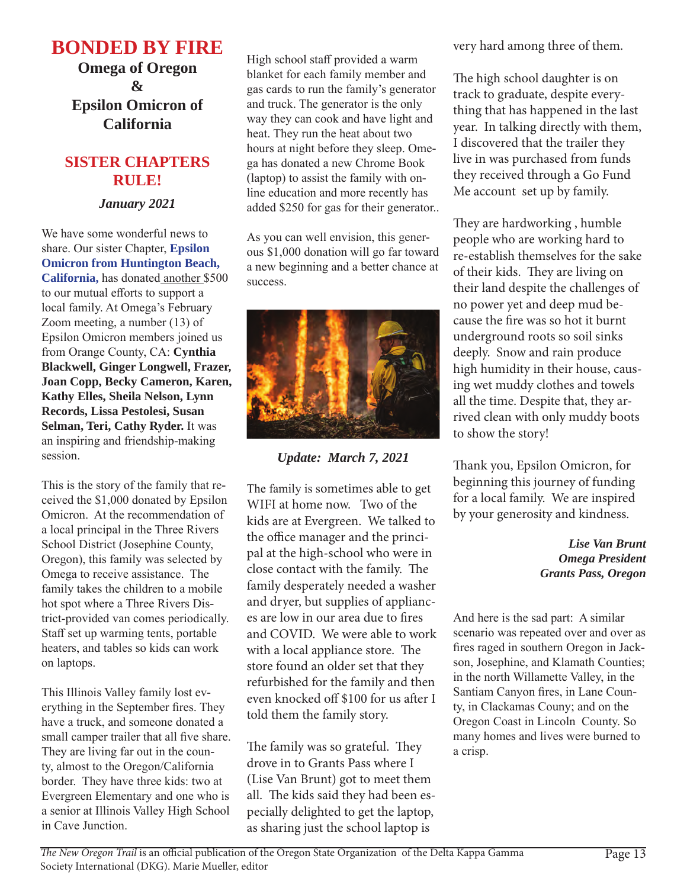# **BONDED BY FIRE**

**Omega of Oregon & Epsilon Omicron of California**

# **SISTER CHAPTERS RULE!**

# *January 2021*

We have some wonderful news to share. Our sister Chapter, **Epsilon Omicron from Huntington Beach, California,** has donated another \$500 to our mutual efforts to support a local family. At Omega's February Zoom meeting, a number (13) of Epsilon Omicron members joined us from Orange County, CA: **Cynthia Blackwell, Ginger Longwell, Frazer, Joan Copp, Becky Cameron, Karen, Kathy Elles, Sheila Nelson, Lynn Records, Lissa Pestolesi, Susan Selman, Teri, Cathy Ryder.** It was an inspiring and friendship-making session.

This is the story of the family that received the \$1,000 donated by Epsilon Omicron. At the recommendation of a local principal in the Three Rivers School District (Josephine County, Oregon), this family was selected by Omega to receive assistance. The family takes the children to a mobile hot spot where a Three Rivers District-provided van comes periodically. Staff set up warming tents, portable heaters, and tables so kids can work on laptops.

This Illinois Valley family lost everything in the September fires. They have a truck, and someone donated a small camper trailer that all five share. They are living far out in the county, almost to the Oregon/California border. They have three kids: two at Evergreen Elementary and one who is a senior at Illinois Valley High School in Cave Junction.

High school staff provided a warm blanket for each family member and gas cards to run the family's generator and truck. The generator is the only way they can cook and have light and heat. They run the heat about two hours at night before they sleep. Omega has donated a new Chrome Book (laptop) to assist the family with online education and more recently has added \$250 for gas for their generator..

As you can well envision, this generous \$1,000 donation will go far toward a new beginning and a better chance at success.



*Update: March 7, 2021*

The family is sometimes able to get WIFI at home now. Two of the kids are at Evergreen. We talked to the office manager and the principal at the high-school who were in close contact with the family. The family desperately needed a washer and dryer, but supplies of appliances are low in our area due to fires and COVID. We were able to work with a local appliance store. The store found an older set that they refurbished for the family and then even knocked off \$100 for us after I told them the family story.

The family was so grateful. They drove in to Grants Pass where I (Lise Van Brunt) got to meet them all. The kids said they had been especially delighted to get the laptop, as sharing just the school laptop is

very hard among three of them.

The high school daughter is on track to graduate, despite everything that has happened in the last year. In talking directly with them, I discovered that the trailer they live in was purchased from funds they received through a Go Fund Me account set up by family.

They are hardworking , humble people who are working hard to re-establish themselves for the sake of their kids. They are living on their land despite the challenges of no power yet and deep mud because the fire was so hot it burnt underground roots so soil sinks deeply. Snow and rain produce high humidity in their house, causing wet muddy clothes and towels all the time. Despite that, they arrived clean with only muddy boots to show the story!

Thank you, Epsilon Omicron, for beginning this journey of funding for a local family. We are inspired by your generosity and kindness.

> *Lise Van Brunt Omega President Grants Pass, Oregon*

And here is the sad part: A similar scenario was repeated over and over as fires raged in southern Oregon in Jackson, Josephine, and Klamath Counties; in the north Willamette Valley, in the Santiam Canyon fires, in Lane County, in Clackamas Couny; and on the Oregon Coast in Lincoln County. So many homes and lives were burned to a crisp.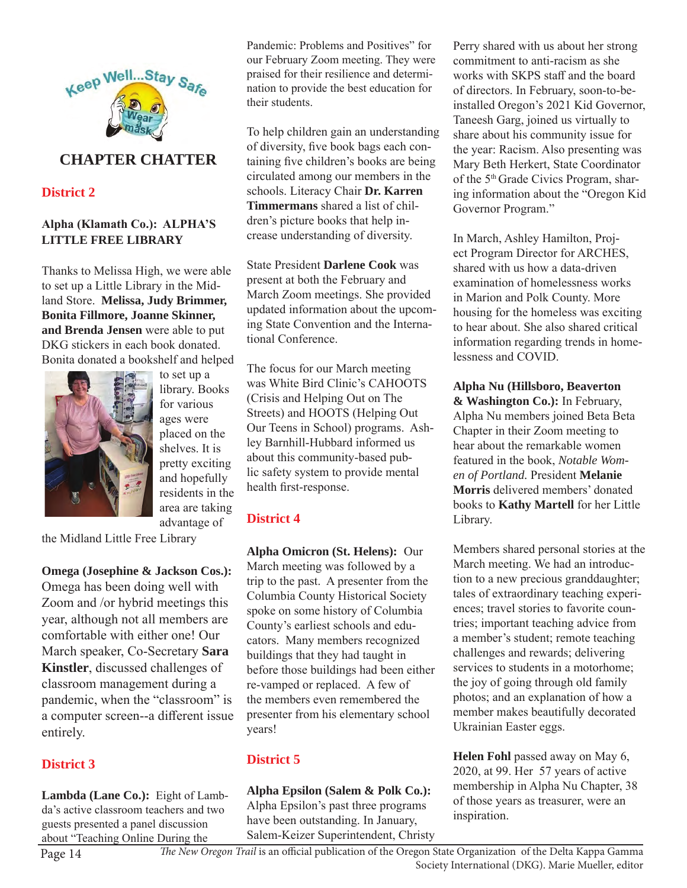

# **CHAPTER CHATTER**

**District 2**

#### **Alpha (Klamath Co.): ALPHA'S LITTLE FREE LIBRARY**

Thanks to Melissa High, we were able to set up a Little Library in the Midland Store. **Melissa, Judy Brimmer, Bonita Fillmore, Joanne Skinner, and Brenda Jensen** were able to put DKG stickers in each book donated. Bonita donated a bookshelf and helped



to set up a library. Books for various ages were placed on the shelves. It is pretty exciting and hopefully residents in the area are taking advantage of

the Midland Little Free Library

**Omega (Josephine & Jackson Cos.):** Omega has been doing well with Zoom and /or hybrid meetings this year, although not all members are comfortable with either one! Our March speaker, Co-Secretary **Sara Kinstler**, discussed challenges of classroom management during a pandemic, when the "classroom" is a computer screen--a different issue entirely.

#### **District 3**

**Lambda (Lane Co.):** Eight of Lambda's active classroom teachers and two guests presented a panel discussion about "Teaching Online During the

Pandemic: Problems and Positives" for our February Zoom meeting. They were praised for their resilience and determination to provide the best education for their students.

To help children gain an understanding of diversity, five book bags each containing five children's books are being circulated among our members in the schools. Literacy Chair **Dr. Karren Timmermans** shared a list of children's picture books that help increase understanding of diversity.

State President **Darlene Cook** was present at both the February and March Zoom meetings. She provided updated information about the upcoming State Convention and the International Conference.

The focus for our March meeting was White Bird Clinic's CAHOOTS (Crisis and Helping Out on The Streets) and HOOTS (Helping Out Our Teens in School) programs. Ashley Barnhill-Hubbard informed us about this community-based public safety system to provide mental health first-response.

#### **District 4**

**Alpha Omicron (St. Helens):** Our March meeting was followed by a trip to the past. A presenter from the Columbia County Historical Society spoke on some history of Columbia County's earliest schools and educators. Many members recognized buildings that they had taught in before those buildings had been either re-vamped or replaced. A few of the members even remembered the presenter from his elementary school years!

#### **District 5**

**Alpha Epsilon (Salem & Polk Co.):**  Alpha Epsilon's past three programs have been outstanding. In January, Salem-Keizer Superintendent, Christy Perry shared with us about her strong commitment to anti-racism as she works with SKPS staff and the board of directors. In February, soon-to-beinstalled Oregon's 2021 Kid Governor, Taneesh Garg, joined us virtually to share about his community issue for the year: Racism. Also presenting was Mary Beth Herkert, State Coordinator of the 5<sup>th</sup> Grade Civics Program, sharing information about the "Oregon Kid Governor Program."

In March, Ashley Hamilton, Project Program Director for ARCHES, shared with us how a data-driven examination of homelessness works in Marion and Polk County. More housing for the homeless was exciting to hear about. She also shared critical information regarding trends in homelessness and COVID.

**Alpha Nu (Hillsboro, Beaverton & Washington Co.):** In February, Alpha Nu members joined Beta Beta Chapter in their Zoom meeting to hear about the remarkable women featured in the book, *Notable Women of Portland.* President **Melanie Morris** delivered members' donated books to **Kathy Martell** for her Little Library.

Members shared personal stories at the March meeting. We had an introduction to a new precious granddaughter; tales of extraordinary teaching experiences; travel stories to favorite countries; important teaching advice from a member's student; remote teaching challenges and rewards; delivering services to students in a motorhome; the joy of going through old family photos; and an explanation of how a member makes beautifully decorated Ukrainian Easter eggs.

**Helen Fohl** passed away on May 6, 2020, at 99. Her 57 years of active membership in Alpha Nu Chapter, 38 of those years as treasurer, were an inspiration.

Page 14 *The New Oregon Trail* is an official publication of the Oregon State Organization of the Delta Kappa Gamma Society International (DKG). Marie Mueller, editor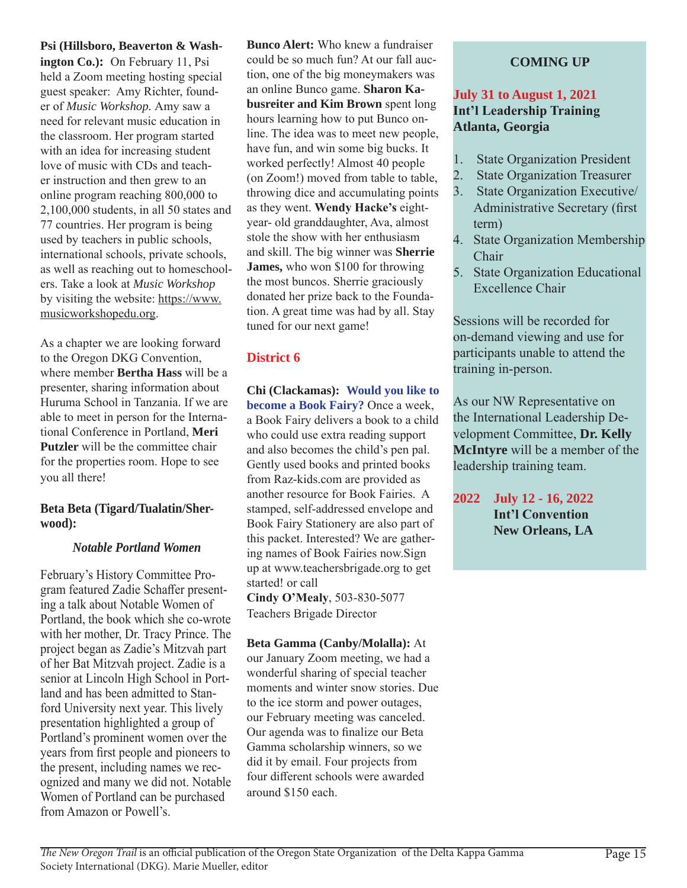#### **Psi (Hillsboro, Beaverton & Wash-**

**ington Co.):** On February 11, Psi held a Zoom meeting hosting special guest speaker: Amy Richter, founder of *Music Workshop.* Amy saw a need for relevant music education in the classroom. Her program started with an idea for increasing student love of music with CDs and teacher instruction and then grew to an online program reaching 800,000 to 2,100,000 students, in all 50 states and 77 countries. Her program is being used by teachers in public schools, international schools, private schools, as well as reaching out to homeschoolers. Take a look at *Music Workshop*  by visiting the website: https://www. musicworkshopedu.org.

As a chapter we are looking forward to the Oregon DKG Convention, where member **Bertha Hass** will be a presenter, sharing information about Huruma School in Tanzania. If we are able to meet in person for the International Conference in Portland, **Meri Putzler** will be the committee chair for the properties room. Hope to see you all there!

#### **Beta Beta (Tigard/Tualatin/Sherwood):**

#### *Notable Portland Women*

February's History Committee Program featured Zadie Schaffer presenting a talk about Notable Women of Portland, the book which she co-wrote with her mother, Dr. Tracy Prince. The project began as Zadie's Mitzvah part of her Bat Mitzvah project. Zadie is a senior at Lincoln High School in Portland and has been admitted to Stanford University next year. This lively presentation highlighted a group of Portland's prominent women over the years from first people and pioneers to the present, including names we recognized and many we did not. Notable Women of Portland can be purchased from Amazon or Powell's.

**Bunco Alert:** Who knew a fundraiser could be so much fun? At our fall auction, one of the big moneymakers was an online Bunco game. **Sharon Kabusreiter and Kim Brown** spent long hours learning how to put Bunco online. The idea was to meet new people, have fun, and win some big bucks. It worked perfectly! Almost 40 people (on Zoom!) moved from table to table, throwing dice and accumulating points as they went. **Wendy Hacke's** eightyear- old granddaughter, Ava, almost stole the show with her enthusiasm and skill. The big winner was **Sherrie James,** who won \$100 for throwing the most buncos. Sherrie graciously donated her prize back to the Foundation. A great time was had by all. Stay tuned for our next game!

#### **District 6**

**Chi (Clackamas): Would you like to become a Book Fairy?** Once a week, a Book Fairy delivers a book to a child who could use extra reading support and also becomes the child's pen pal. Gently used books and printed books from Raz-kids.com are provided as another resource for Book Fairies. A stamped, self-addressed envelope and Book Fairy Stationery are also part of this packet. Interested? We are gathering names of Book Fairies now.Sign up at www.teachersbrigade.org to get started! or call

**Cindy O'Mealy**, 503-830-5077 Teachers Brigade Director

#### **Beta Gamma (Canby/Molalla):** At

our January Zoom meeting, we had a wonderful sharing of special teacher moments and winter snow stories. Due to the ice storm and power outages, our February meeting was canceled. Our agenda was to finalize our Beta Gamma scholarship winners, so we did it by email. Four projects from four different schools were awarded around \$150 each.

# **COMING UP**

# **July 31 to August 1, 2021 Int'l Leadership Training Atlanta, Georgia**

- 1. State Organization President
- 2. State Organization Treasurer
- 3. State Organization Executive/ Administrative Secretary (first term)
- 4. State Organization Membership Chair
- 5. State Organization Educational Excellence Chair

Sessions will be recorded for on-demand viewing and use for participants unable to attend the training in-person.

As our NW Representative on the International Leadership Development Committee, **Dr. Kelly McIntyre** will be a member of the leadership training team.

**2022 July 12 - 16, 2022 Int'l Convention New Orleans, LA**